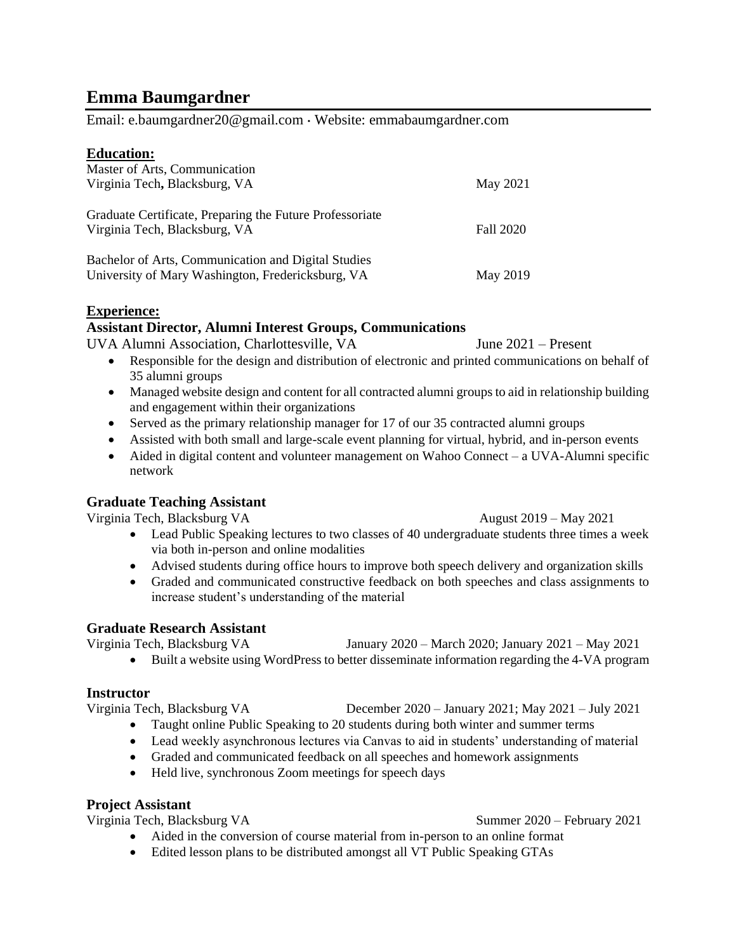# **Emma Baumgardner**

Email: e.baumgardner20@gmail.com Website: emmabaumgardner.com

## **Education:**

| Master of Arts, Communication<br>Virginia Tech, Blacksburg, VA                                           | May 2021         |
|----------------------------------------------------------------------------------------------------------|------------------|
| Graduate Certificate, Preparing the Future Professoriate<br>Virginia Tech, Blacksburg, VA                | <b>Fall 2020</b> |
| Bachelor of Arts, Communication and Digital Studies<br>University of Mary Washington, Fredericksburg, VA | May 2019         |

## **Experience:**

# **Assistant Director, Alumni Interest Groups, Communications**

UVA Alumni Association, Charlottesville, VA June 2021 – Present

- Responsible for the design and distribution of electronic and printed communications on behalf of 35 alumni groups
- Managed website design and content for all contracted alumni groups to aid in relationship building and engagement within their organizations
- Served as the primary relationship manager for 17 of our 35 contracted alumni groups
- Assisted with both small and large-scale event planning for virtual, hybrid, and in-person events
- Aided in digital content and volunteer management on Wahoo Connect a UVA-Alumni specific network

# **Graduate Teaching Assistant**

Virginia Tech, Blacksburg VA August 2019 – May 2021

- Lead Public Speaking lectures to two classes of 40 undergraduate students three times a week via both in-person and online modalities
- Advised students during office hours to improve both speech delivery and organization skills
- Graded and communicated constructive feedback on both speeches and class assignments to increase student's understanding of the material

# **Graduate Research Assistant**

Virginia Tech, Blacksburg VA January 2020 – March 2020; January 2021 – May 2021 • Built a website using WordPress to better disseminate information regarding the 4-VA program

# **Instructor**

Virginia Tech, Blacksburg VA December 2020 – January 2021; May 2021 – July 2021

- Taught online Public Speaking to 20 students during both winter and summer terms
- Lead weekly asynchronous lectures via Canvas to aid in students' understanding of material
- Graded and communicated feedback on all speeches and homework assignments
- Held live, synchronous Zoom meetings for speech days

# **Project Assistant**

Virginia Tech, Blacksburg VA Summer 2020 – February 2021

- Aided in the conversion of course material from in-person to an online format
- Edited lesson plans to be distributed amongst all VT Public Speaking GTAs